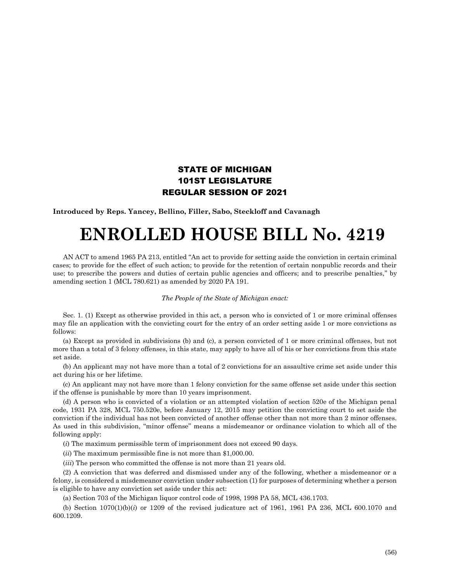## STATE OF MICHIGAN 101ST LEGISLATURE REGULAR SESSION OF 2021

**Introduced by Reps. Yancey, Bellino, Filler, Sabo, Steckloff and Cavanagh**

## **ENROLLED HOUSE BILL No. 4219**

AN ACT to amend 1965 PA 213, entitled "An act to provide for setting aside the conviction in certain criminal cases; to provide for the effect of such action; to provide for the retention of certain nonpublic records and their use; to prescribe the powers and duties of certain public agencies and officers; and to prescribe penalties," by amending section 1 (MCL 780.621) as amended by 2020 PA 191.

## *The People of the State of Michigan enact:*

Sec. 1. (1) Except as otherwise provided in this act, a person who is convicted of 1 or more criminal offenses may file an application with the convicting court for the entry of an order setting aside 1 or more convictions as follows:

(a) Except as provided in subdivisions (b) and (c), a person convicted of 1 or more criminal offenses, but not more than a total of 3 felony offenses, in this state, may apply to have all of his or her convictions from this state set aside.

(b) An applicant may not have more than a total of 2 convictions for an assaultive crime set aside under this act during his or her lifetime.

(c) An applicant may not have more than 1 felony conviction for the same offense set aside under this section if the offense is punishable by more than 10 years imprisonment.

(d) A person who is convicted of a violation or an attempted violation of section 520e of the Michigan penal code, 1931 PA 328, MCL 750.520e, before January 12, 2015 may petition the convicting court to set aside the conviction if the individual has not been convicted of another offense other than not more than 2 minor offenses. As used in this subdivision, "minor offense" means a misdemeanor or ordinance violation to which all of the following apply:

(*i*) The maximum permissible term of imprisonment does not exceed 90 days.

(*ii*) The maximum permissible fine is not more than \$1,000.00.

(*iii*) The person who committed the offense is not more than 21 years old.

(2) A conviction that was deferred and dismissed under any of the following, whether a misdemeanor or a felony, is considered a misdemeanor conviction under subsection (1) for purposes of determining whether a person is eligible to have any conviction set aside under this act:

(a) Section 703 of the Michigan liquor control code of 1998, 1998 PA 58, MCL 436.1703.

(b) Section 1070(1)(b)(*i*) or 1209 of the revised judicature act of 1961, 1961 PA 236, MCL 600.1070 and 600.1209.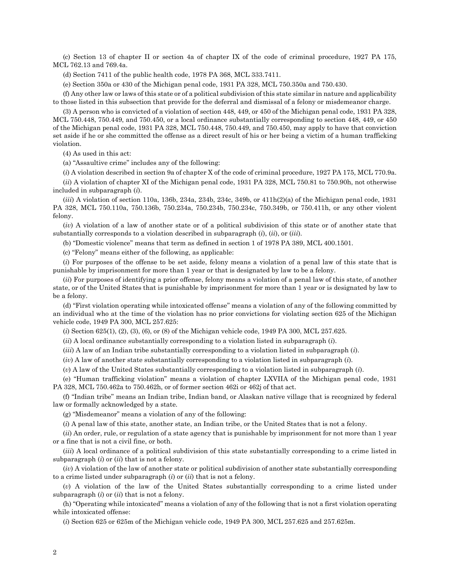(c) Section 13 of chapter II or section 4a of chapter IX of the code of criminal procedure, 1927 PA 175, MCL 762.13 and 769.4a.

(d) Section 7411 of the public health code, 1978 PA 368, MCL 333.7411.

(e) Section 350a or 430 of the Michigan penal code, 1931 PA 328, MCL 750.350a and 750.430.

(f) Any other law or laws of this state or of a political subdivision of this state similar in nature and applicability to those listed in this subsection that provide for the deferral and dismissal of a felony or misdemeanor charge.

(3) A person who is convicted of a violation of section 448, 449, or 450 of the Michigan penal code, 1931 PA 328, MCL 750.448, 750.449, and 750.450, or a local ordinance substantially corresponding to section 448, 449, or 450 of the Michigan penal code, 1931 PA 328, MCL 750.448, 750.449, and 750.450, may apply to have that conviction set aside if he or she committed the offense as a direct result of his or her being a victim of a human trafficking violation.

(4) As used in this act:

(a) "Assaultive crime" includes any of the following:

(*i*) A violation described in section 9a of chapter X of the code of criminal procedure, 1927 PA 175, MCL 770.9a.

(*ii*) A violation of chapter XI of the Michigan penal code, 1931 PA 328, MCL 750.81 to 750.90h, not otherwise included in subparagraph (*i*).

 $(iii)$  A violation of section 110a, 136b, 234a, 234b, 234c, 349b, or  $411h(2)(a)$  of the Michigan penal code, 1931 PA 328, MCL 750.110a, 750.136b, 750.234a, 750.234b, 750.234c, 750.349b, or 750.411h, or any other violent felony.

(*iv*) A violation of a law of another state or of a political subdivision of this state or of another state that substantially corresponds to a violation described in subparagraph (*i*), (*ii*), or (*iii*).

(b) "Domestic violence" means that term as defined in section 1 of 1978 PA 389, MCL 400.1501.

(c) "Felony" means either of the following, as applicable:

(*i*) For purposes of the offense to be set aside, felony means a violation of a penal law of this state that is punishable by imprisonment for more than 1 year or that is designated by law to be a felony.

(*ii*) For purposes of identifying a prior offense, felony means a violation of a penal law of this state, of another state, or of the United States that is punishable by imprisonment for more than 1 year or is designated by law to be a felony.

(d) "First violation operating while intoxicated offense" means a violation of any of the following committed by an individual who at the time of the violation has no prior convictions for violating section 625 of the Michigan vehicle code, 1949 PA 300, MCL 257.625:

(*i*) Section 625(1), (2), (3), (6), or (8) of the Michigan vehicle code, 1949 PA 300, MCL 257.625.

(*ii*) A local ordinance substantially corresponding to a violation listed in subparagraph (*i*).

(*iii*) A law of an Indian tribe substantially corresponding to a violation listed in subparagraph (*i*).

(*iv*) A law of another state substantially corresponding to a violation listed in subparagraph (*i*).

(*v*) A law of the United States substantially corresponding to a violation listed in subparagraph (*i*).

(e) "Human trafficking violation" means a violation of chapter LXVIIA of the Michigan penal code, 1931 PA 328, MCL 750.462a to 750.462h, or of former section 462i or 462j of that act.

(f) "Indian tribe" means an Indian tribe, Indian band, or Alaskan native village that is recognized by federal law or formally acknowledged by a state.

(g) "Misdemeanor" means a violation of any of the following:

(*i*) A penal law of this state, another state, an Indian tribe, or the United States that is not a felony.

(*ii*) An order, rule, or regulation of a state agency that is punishable by imprisonment for not more than 1 year or a fine that is not a civil fine, or both.

(*iii*) A local ordinance of a political subdivision of this state substantially corresponding to a crime listed in subparagraph (*i*) or (*ii*) that is not a felony.

(*iv*) A violation of the law of another state or political subdivision of another state substantially corresponding to a crime listed under subparagraph (*i*) or (*ii*) that is not a felony.

(*v*) A violation of the law of the United States substantially corresponding to a crime listed under subparagraph (*i*) or (*ii*) that is not a felony.

(h) "Operating while intoxicated" means a violation of any of the following that is not a first violation operating while intoxicated offense:

(*i*) Section 625 or 625m of the Michigan vehicle code, 1949 PA 300, MCL 257.625 and 257.625m.